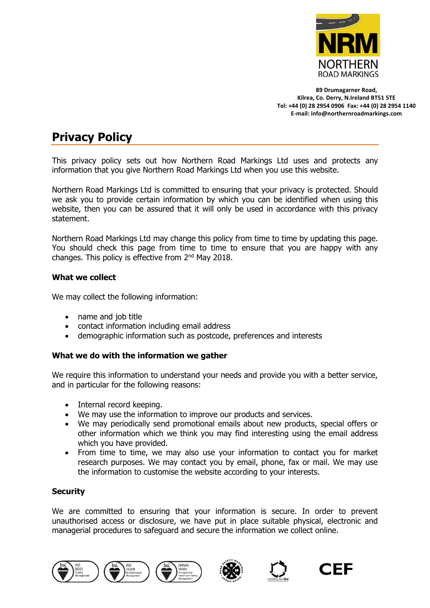

**89 Drumagarner Road, Kilrea, Co. Derry, N.Ireland BT51 5TE Tel: +44 (0) 28 2954 0906 Fax: +44 (0) 28 2954 1140 E-mail: info@northernroadmarkings.com**

# **Privacy Policy**

This privacy policy sets out how Northern Road Markings Ltd uses and protects any information that you give Northern Road Markings Ltd when you use this website.

Northern Road Markings Ltd is committed to ensuring that your privacy is protected. Should we ask you to provide certain information by which you can be identified when using this website, then you can be assured that it will only be used in accordance with this privacy statement.

Northern Road Markings Ltd may change this policy from time to time by updating this page. You should check this page from time to time to ensure that you are happy with any changes. This policy is effective from 2<sup>nd</sup> May 2018.

# **What we collect**

We may collect the following information:

- name and job title
- contact information including email address
- demographic information such as postcode, preferences and interests

# **What we do with the information we gather**

We require this information to understand your needs and provide you with a better service, and in particular for the following reasons:

- Internal record keeping.
- We may use the information to improve our products and services.
- We may periodically send promotional emails about new products, special offers or other information which we think you may find interesting using the email address which you have provided.
- From time to time, we may also use your information to contact you for market research purposes. We may contact you by email, phone, fax or mail. We may use the information to customise the website according to your interests.

# **Security**

We are committed to ensuring that your information is secure. In order to prevent unauthorised access or disclosure, we have put in place suitable physical, electronic and managerial procedures to safeguard and secure the information we collect online.